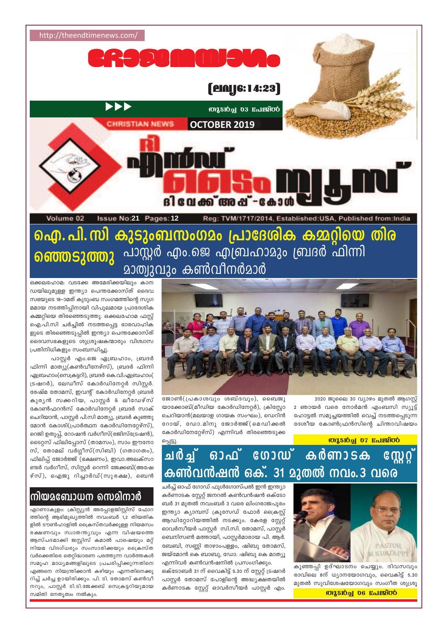

ഐ. പി. സി കുടുംബസംഗമം പ്രാദേശിക കമ്മറ്റിയെ തിര ഞ്ഞെടുത്തു പാസ്റ്റർ എം.ജെ എബ്രഹാമും ബ്രദർ ഫിന്നി മാത്വുവും കൺവീനർമാർ



2020 ജൂലൈ 30 വ്യാഴം മുതൽ ആഗസ്റ്റ് 2 ഞായർ വരെ നോർമൻ എംബസി സ്യൂട്ട് ഹോട്ടൽ സമുച്ചയത്തിൽ വെച്ച് നടത്തപ്പെടുന്ന ദേശീയ കോൺഫ്രൻസിന്റെ ചിന്താവിഷയം

**Miston 07 Rolestoo** 

ജോൺ(പ്രകാശവും ശബ്ദവും), ബൈജു യാക്കോബ്(മീഡിയ കോർഡിനേറ്റർ), ക്രിസ്റ്റോ ചെറിയാൻ(മലയാള ഗായക സംഘം), ഡെറിൻ റോയ്, ഡോ.മിനു ജോർജ്ജ്(മെഡിക്കൽ കോർഡിനേറ്റേഴ്സ്) എന്നിവർ തിരഞ്ഞെടുക്ക പ്പെട്ടു

# ചർച്ച് ഓഫ് ഗോഡ് കർണാടക  $\sqrt{2}$ കൺവൻഷൻ ഒക്. 31 മുതൽ നവം.3 വരെ



കുഞ്ഞപ്പി ഉദ്ഘാടനം ചെയ്യും. ദിവസവും രാവിലെ 8ന് ധ്യാനയോഗവും, വൈകിട്ട് 5.30 മുതൽ സുവിശേഷയോഗവും സംഗീത ശുശ്രൂ

# **MASION 06 Rolesoo**

ചർച്ച് ഓഫ് ഗോഡ് ഫുൾഗോസ്പൽ ഇൻ ഇന്ത്യാ കർണാടക സ്റ്റേറ്റ് ജനറൽ കൺവൻഷൻ ഒക്ടോ ബർ 31 മുതൽ നവംബർ 3 വരെ ലിംഗരാജപുരം ഇന്ത്യാ ക്യാമ്പസ് ക്രൂസേഡ് ഫോർ ക്രൈസ്റ് ആഡിറ്റോറിയത്തിൽ നടക്കും. കേരള സ്റ്റേറ്റ് ഓവർസീയർ പാസ്റ്റർ സി.സി. തോമസ്, പാസ്റ്റർ ബെനിസൺ മത്തായി, പാസ്റ്റർമാരായ പി. ആർ. ബേബി, സണ്ണി താഴാംപള്ളം, ഷിബു തോമസ്,

എന്നിവർ കൺവൻഷനിൽ പ്രസംഗിക്കും. ഒക്ടോബർ 31 ന് വൈകിട്ട് 5.30 ന് സ്റ്റേറ്റ് ട്രഷറർ പാസ്റ്റർ തോമസ് പോളിന്റെ അദ്ധ്യക്ഷതയിൽ കർണാടക സ്റ്റേറ്റ് ഓവർസീയർ പാസ്റ്റർ എം.

ജയ്മോൻ കെ ബാബു, ഡോ. ഷിബു കെ മാത്യൂ

ഒക്കലഹോമ: വടക്കേ അമേരിക്കയിലും കാന ഡയിലുമുള്ള ഇന്ത്യാ പെന്തക്കോസ്ത് ദൈവ സഭയുടെ 18–ാമത് കൂടുംബ സംഗമത്തിന്റെ സുഗ മമായ നടത്തിപ്പിനായി വിപുലമായ പ്രാദേശിക കമ്മറ്റിയെ തിരഞ്ഞെടുത്തു. ഒക്കലഹോമ ഫസ്റ്റ് ഐ.പി.സി ചർച്ചിൽ നടത്തപ്പെട്ട ഭാരവാഹിക ളുടെ തിരഞ്ഞെടുപ്പിൽ ഇന്ത്യാ പെന്തക്കോസ്ത് ദൈവസഭകളുടെ ശുശ്രൂഷകന്മാരും വിശ്വാസ പ്രതിനിധികളും സംബന്ധിച്ചു.

പാസ്റ്റർ എം.ജെ ഏബ്രഹാം, ബ്രദർ ഫിന്നി മാത്യു(കൺവീനേഴ്സ്), ബ്രദർ ഫിന്നി ഏബ്രഹാം(സെക്രട്ടറി), ബ്രദർ കെ.വി.ഏബ്രഹാം( ട്രഷറർ), ലേഡീസ് കോർഡിനേറ്റർ സിസ്റ്റർ. രേഷ്മ തോമസ്, ഇവന്റ് കോർഡിനേറ്റർ ബ്രദർ കുരൃൻ സക്കറിയ, പാസ്റ്റർ & ലീഡേഴ്സ് കോൺഫറൻസ് കോർഡിനേറ്റർ ബ്രദർ സാക് ചെറിയാൻ, പാസ്റ്റർ പി.സി മാത്യു, ബ്രദർ കുഞ്ഞു മോൻ കോശി(പ്രാർത്ഥന കോർഡിനേറ്റേഴ്സ്), റെജി ഉതുപ്പ്, റോഷൻ വർഗീസ്(രജിസ്ട്രേഷൻ), ടൈറ്റസ് ഫിലിപ്പോസ് (താമസം), സാം ഈനോ സ്, തോമല് വർഗ്ഗീസ്(സിബി) (ഗതാഗതം), ഫിലിപ്പ് ജോർജ്ജ് (ഭക്ഷണം), ഇവാ.അലക്സാ ണ്ടർ വർഗീസ്, സിസ്റ്റർ റെന്നി ജേക്കബ്(അഷേ ഴ്സ്), ഐജു റിച്ചാർഡ്(സുരക്ഷ), ബെൻ

# നിയമബോധന സെമിനാർ

എറണാകുളം: ക്രിസ്റ്റ്യൻ അപ്പോളജിസ്റ്റിസ് ഫോറ ത്തിന്റെ ആഭിമുഖ്യത്തിൽ നവംബർ 1,2 തിയതിക ളിൽ ടൗൺഹാളിൽ ക്രൈസ്തവർക്കുള്ള നിയമസം രക്ഷണവും സ്വാതന്ത്യവും എന്ന വിഷയത്തെ ആസ്പദമാക്കി ജസ്റ്റിസ് കമാൽ പാഷെയും മറ്റ് നിയമ വിദഗ്ധരും സംസാരിക്കയും ക്രൈസ്ത വർക്കെതിരെ തെറ്റിദ്ധാരണ പരത്തുന്ന വാർത്തകൾ സമൂഹ മാധ്യമങ്ങളിലൂടെ പ്രചരിപ്പിക്കുന്നതിനെ എങ്ങനെ നിയന്ത്രിക്കാൻ കഴിയും എന്നതിനെക്കു റിച്ച് ചർച്ച ഉായിരിക്കും. പി. ടി. തോമസ് കൺവീ നറും, പാസ്റ്റർ ടി.ടി.ജേക്കബ് സെക്രട്ടറിയുമായ സമിതി നേതൃത്വം നൽകും.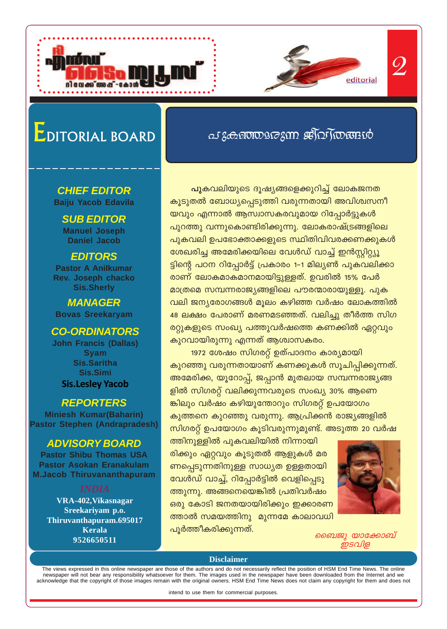

# EDITORIAL BOARD

### **CHIEF EDITOR Baiju Yacob Edavila**

**SUB EDITOR Manuel Joseph Daniel Jacob** 

### **EDITORS**

**Pastor A Anilkumar** Rev. Joseph chacko **Sis.Sherly** 

**MANAGER Bovas Sreekaryam** 

## **CO-ORDINATORS**

**John Francis (Dallas) Syam Sis.Saritha Sis.Simi Sis.Lesley Yacob** 

### **REPORTERS**

**Miniesh Kumar(Baharin) Pastor Stephen (Andrapradesh)** 

## **ADVISORY BOARD**

**Pastor Shibu Thomas USA Pastor Asokan Eranakulam M.Jacob Thiruvananthapuram** 

VRA-402, Vikasnagar Sreekariyam p.o. Thiruvanthapuram.695017 **Kerala** 9526650511

പുകവലിയുടെ ദൂഷ്യങ്ങളെക്കുറിച്ച് ലോകജനത കൂടുതൽ ബോധ്യപ്പെടുത്തി വരുന്നതായി അവിശ്വസനീ യവും എന്നാൽ ആസ്വാസകരവുമായ റിപ്പോർട്ടുകൾ പുറത്തു വന്നുകൊണ്ടിരിക്കുന്നു. ലോകരാഷ്ട്രങ്ങളിലെ പുകവലി ഉപഭോക്താക്കളുടെ സ്ഥിതിവിവരക്കണക്കുകൾ ശേഖരിച്ച അമേരിക്കയിലെ വേൾഡ് വാച്ച് ഇൻസ്റ്റിറ്റ്യൂ ട്ടിന്റെ പഠന റിപ്പോർട്ട് പ്രകാരം 1–1 മില്യൺ പുകവലിക്കാ രാണ് ലോകമാകമാനമായിട്ടുള്ളത്. ഉവരിൽ 15% പേർ മാത്രമെ സമ്പന്നരാജ്യങ്ങളിലെ പൗരന്മാരായുള്ളൂ. പുക വലി ജന്യരോഗങ്ങൾ മൂലം കഴിഞ്ഞ വർഷം ലോകത്തിൽ 48 ലക്ഷം പേരാണ് മരണമടഞ്ഞത്. വലിച്ചു തീർത്ത സിഗ രറ്റുകളുടെ സംഖ്യ പത്തുവർഷത്തെ കണക്കിൽ ഏറ്റവും കുറവായിരുന്നു എന്നത് ആശ്വാസകരം.

as zoototon estas to suito

1972 ശേഷം സിഗരറ്റ് ഉത്പാദനം കാര്യമായി കുറഞ്ഞു വരുന്നതായാണ് കണക്കുകൾ സൂചിപ്പിക്കുന്നത്. അമേരിക്ക, യൂറോപ്പ്, ജപ്പാൻ മുതലായ സമ്പന്നരാജ്യങ്ങ ളിൽ സിഗരറ്റ് വലിക്കുന്നവരുടെ സംഖ്യ 30% ആണെ ങ്കിലും വർഷം കഴിയുന്തോറും സിഗരറ്റ് ഉപയോഗം കുത്തനെ കുറഞ്ഞു വരുന്നു. ആപ്രിക്കൻ രാജ്യങ്ങളിൽ സിഗരറ്റ് ഉപയോഗം കൂടിവരുന്നുമുണ്ട്. അടുത്ത 20 വർഷ

ത്തിനുള്ളിൽ പുകവലിയിൽ നിന്നായി രിക്കും ഏറ്റവും കൂടുതൽ ആളുകൾ മര ണപ്പെടുന്നതിനുള്ള സാധ്യത ഉള്ളതായി വേൾഡ് വാച്ച്, റിപ്പോർട്ടിൽ വെളിപ്പെടു ത്തുന്നു. അങ്ങനെയെങ്കിൽ പ്രതിവർഷം ഒരു കോടി ജനതയായിരിക്കും ഇക്കാരണ ത്താൽ സമയത്തിനു മുന്നമേ കാലാവധി പൂർത്തീകരിക്കുന്നത്.



ബൈജു യാക്കോബ് ഇടവിള

**Disclaimer** 

The views expressed in this online newspaper are those of the authors and do not necessarily reflect the position of HSM End Time News. The online newspaper will not bear any responsibility whatsoever for them. The images used in the newspaper have been downloaded from the Internet and we acknowledge that the copyright of those images remain with the original owners. HSM End Time News does not claim any copyright for them and does not

intend to use them for commercial purposes.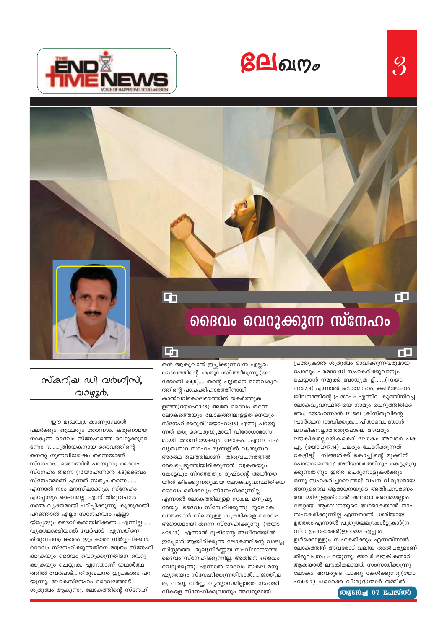$\beta$ **A** $\alpha$ 

 $\mathcal{S}% _{M_{1},M_{2}}^{\prime }\equiv\mathcal{S}_{M_{1},M_{2}}^{\prime }\equiv\mathcal{S}_{M_{1},M_{2}}^{\prime }\equiv\mathcal{S}_{M_{1},M_{2}}^{\prime }\equiv\mathcal{S}_{M_{1},M_{2}}^{\prime }\equiv\mathcal{S}_{M_{1},M_{2}}^{\prime }\equiv\mathcal{S}_{M_{1},M_{2}}^{\prime }\equiv\mathcal{S}_{M_{1},M_{2}}^{\prime }\equiv\mathcal{S}_{M_{1},M_{2}}^{\prime }\equiv\mathcal{S}_{M_{1},M_{2}}^{\prime }\equiv\mathcal{S}_{M_{1},M_{2}}^{\prime }\equiv\mathcal{S}_{M_{1$ 

ГO





*กันลกอย ഡി வல்லில்*, വാഴൂർ.

ഈ മുഖവുര കാണുമ്പോൽ പലർക്കും ആശ്ചര്യം തോന്നാം. കരുണാമയ നാകുന്ന ദൈവം സ്നേഹത്തെ വെറുക്കുമെ ന്നോ. ?.......ത്രിയേകനായ ദൈവത്തിന്റെ തനതു ഗുണവിശേഷം തന്നെയാണ് സ്നേഹം....ബൈബിൾ പറയുന്നു ദൈവം സ്നേഹം തന്നെ (1യോഹന്നാൻ 4:9)ദൈവം സ്നേഹമാണ് എന്നത് സത്യം തന്നെ........ എന്നാൽ നാം മനസിലാക്കുക സ്നേഹം എപ്പോഴും ദൈവമല്ല. എന്ന് തിരുവചനം നമ്മെ വ്യക്തമായി പഠിപ്പിക്കുന്നു. കൃത്യമായി പറഞ്ഞാൽ എല്ലാ സ്നേഹവും എല്ലാ യ്പ്പോഴും ദൈവീകമായിരിക്കണം എന്നില്ല. വ്യക്തമാക്കിയാൽ വേർപാട് എന്നതിനെ തിരുവചനപ്രകാരം ഇപ്രകാരം നിർവ്വചിക്കാം. ദൈവം സ്നേഹിക്കുന്നതിനെ മാത്രം സ്നേഹി ക്കുകയും ദൈവം വെറുക്കുന്നതിനെ വെറു ക്കുകയും ചെയ്യുക. എന്നതാണ് യഥാർത്ഥ ത്തിൽ വേർപാട്....തിരുവചനം ഇപ്രകാരം പറ യുന്നു. ലോകസ്നേഹം ദൈവത്തോട് ശത്രുത്വം ആകുന്നു. ലോകത്തിന്റെ സ്നേഹി

തൻ ആകുവാൻ ഇച്ഛിക്കുന്നവൻ എല്ലാം ദൈവത്തിന്റെ ശത്രുവായിത്തീരുന്നു.(യാ ക്കോബ് 4:4,5)......തന്റെ പുത്രനെ മാനവകുല ത്തിന്റെ പാപപരിഹാരത്തിനായി കാൽവറികൊലമരത്തിൽ തകർത്തുക ളഞ്ഞ(യോഹ3:16) അതേ ദൈവം തന്നെ ലോകത്തെയും ലോകത്തിലുള്ളതിനെയും സ്നേഹിക്കരുത്(1യോഹ2:15) എന്നു പറയു ന്നത് ഒരു വൈരുദ്ധ്യമായി വിരോധാഭാസ മായി തോന്നിയേക്കും. ലോകം.....എന്ന പദം വ്യത്യസ്ഥ സാഹചര്യങ്ങളിൽ വ്യത്യസ്ഥ അർത്ഥ തലത്തിലാണ് തിരുവചനത്തിൽ രേഖപ്പെടുത്തിയിരിക്കുന്നത്. വക്രതയും കോട്ടവും നിറഞ്ഞതും ദുഷ്ടന്റെ അധീനത യിൽ കിടക്കുന്നതുമായ ലോകവ്യവസ്ഥിതിയെ ദൈവം ഒരിക്കലും സ്നേഹിക്കുന്നില്ല. എന്നാൽ ലോകത്തിലുള്ള സകല മനുഷ്യ രേയും ദൈവം സ്നേഹിക്കുന്നു. ഭൂലോക ത്തെക്കാൾ വിലയുള്ള വ്യക്തികളെ ദൈവം അഗാധമായി തന്നെ സ്നേഹിക്കുന്നു. (1യോ ഹ5:19) എന്നാൽ ദുഷ്ടന്റെ അധീനതയിൽ ഇപ്പോൾ ആയിരിക്കുന്ന ലോകത്തിന്റെ വാല്യൂ സിസ്റ്റത്തെ- മൂല്യനിർണ്ണയ സംവിധാനത്തെ ദൈവം സ്നേഹിക്കുന്നില്ല. അതിനെ ദൈവം വെറുക്കുന്നു. എന്നാൽ ദൈവം സകല മനു ഷ്യരെയും സ്നേഹിക്കുന്നതിനാൽ......ജാതി,മ ത, വർഗ്ഗ, വർണ്ണ വ്യത്യാസമില്ലാതെ സഹജീ വികളെ സ്നേഹിക്കുവാനും അവരുമായി

中

പ്രത്യേകാൽ ശത്രുത്വം ഭാവിക്കുന്നവരുമായ പോലും പരമാവധി സഹകരിക്കുവാനും ചെയ്യാൻ നമുക്ക് ബാധൃത ഉ്......(1യോ  $\Omega$ 4:7,8) എന്നാൽ ജഡമോഹം, കൺമോഹം, ജീവനത്തിന്റെ പ്രതാപം എന്നിവ കുത്തിനിറച്ച ലോകവ്യവസ്ഥിതിയെ നാമും വെറുത്തിരിക്ക ണം. യോഹന്നാൻ 17 ലെ ക്രിസ്തുവിന്റെ പ്രാർത്ഥന ശ്രദ്ധിക്കുക.....പിതാവെ...ഞാൻ ലൗകികനല്ലാത്തതുപോലെ അവരും ലൗകികരല്ലായ്കകൊ് ലോകം അവരെ പക ച്ചു. (യോഹ17:14) പലരും ചോദിക്കുന്നത് കേട്ടിട്ടു് നിങ്ങൾക്ക് കൊച്ചിന്റെ മുക്കിന് പോയാലെന്താ? അടിയന്തരത്തിനും കെട്ടുമുറു ക്കുന്നതിനും ഇതര പെരുന്നാളുകൾക്കും ഒന്നു സഹകരിച്ചാലെന്താ? വചന വിരുദ്ധമായ അന്യദൈവ ആരാധനയുടെ അതിപ്രസരണം അവയിലുള്ളതിനാൽ അഥവാ അവയെല്ലാം തെറ്റായ ആരാധനയുടെ ഭാഗമാകയാൽ നാം സഹകരിക്കുന്നില്ല എന്നതാണ് ശരിയായ ഉത്തരം.എന്നാൽ പുതുതലമുറകൾട്ടുകൾ(ന വീന ഉപദേശകർ)ഇവയെ എല്ലാം ഉൾക്കൊള്ളും സഹകരിക്കും എന്നതിനാൽ ലോകത്തിന് അവരോട് വലിയ താൽപര്യമാണ് തിരുവചനം പറയുന്നു. അവർ ലൗകികന്മാർ ആകയാൽ ലൗകികമായത് സംസാരിക്കുന്നു ലോകം അവരുടെ വാക്കു കേൾക്കുന്നു.(യോ ഹ4:6,7) പഠൊക്കെ വിശുദ്ധന്മാർ തമ്മിൽ

றி2ி வில்லான் குறிவி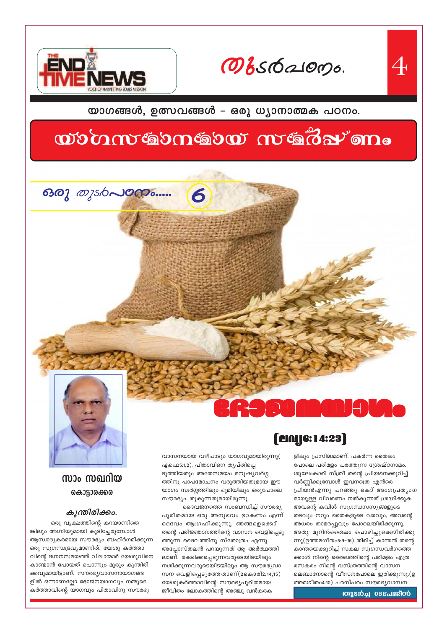Obsdarons.

യാഗങ്ങൾ, ഉത്സവങ്ങൾ - ഒരു ധ്യാനാത്മക പഠനം.

# wommtgomgow wgdz<sup>i</sup>om.

6



## സാം സഖറിയ കൊട്ടാരക്കര

### കുന്തിരിക്കം.

ഒരു വൃക്ഷത്തിന്റെ കറയാണിതെ ങ്കിലും അഗ്നിയുമായി കൂടിച്ചേരുമ്പോൾ ആസ്വാദ്യകരമായ സൗരഭ്യം ബഹിർഗമിക്കുന്ന ഒരു സുഗന്ധദ്രവ്യമാണിത്. യേശു കർത്താ വിന്റെ ജനനസമയത്ത് വിദ്വാന്മാർ യേശുവിനെ കാണ്മാൻ പോയത് പൊന്നും മൂരും കുന്തിരി ക്കവുമായിട്ടാണ്. സൗരഭൃവാസനായാഗങ്ങ ളിൽ ഒന്നാണല്ലോ ഭോജനയാഗവും നമ്മുടെ കർത്താവിന്റെ യാഗവും പിതാവിനു സൗരഭ്യ

വാസനയായ വഴിപാടും യാഗവുമായിരുന്നു( എഫെ5:1,2). പിതാവിനെ തൃപ്തിപ്പെ ടുത്തിയതും അതേസമയം മനുഷ്യവർഗ്ഗ ത്തിനു പാപമോചനം വരുത്തിയതുമായ ഈ യാഗം സ്വർഗ്ഗത്തിലും ഭൂമിയിലും ഒരുപോലെ സൗരഭ്യം തൂകുന്നതുമായിരുന്നു.

ദൈവജനത്തെ സംബന്ധിച്ച് സൗരഭ്യ പൂരിതമായ ഒരു അനുഭവം ഉാകണം എന്ന് ദൈവം ആഗ്രഹിക്കുന്നു. ഞങ്ങളെക്കൊ് തന്റെ പരിജ്ഞാനത്തിന്റെ വാസന വെളിപ്പെടു ത്തുന്ന ദൈവത്തിനു സ്തോത്രം എന്നു അപ്പോസ്തലൻ പറയുന്നത് ആ അർത്ഥത്തി ലാണ്. രക്ഷിക്കപ്പെടുന്നവരുടെയിടയിലും നശിക്കുന്നവരുടെയിടയിലും ആ സൗരഭ്യവാ സന വെളിപ്പെടുത്തേ താണ്(2കൊരി2:14,15) യേശുകർത്താവിന്റെ സൗരഭ്യപൂരിതമായ ജീവിതം ലോകത്തിന്റെ അഞ്ചു വൻകരക

ളിലും പ്രസിദ്ധമാണ്. പകർന്ന തൈലം പോലെ പരിമളം പരത്തുന്ന ശ്രേഷ്ഠനാമം. ശൂലേംകാരി സ്ത്രീ തന്റെ പ്രിയനെക്കുറിച്ച് വർണ്ണിക്കുമ്പോൾ ഇവനത്രെ എൻരെ പ്രിയൻഎന്നു പറഞ്ഞു കൊ് അംഗപ്രത്യംഗ മായുള്ള വിവരണം നൽകുന്നത് ശ്രദ്ധിക്കുക. അവന്റെ കവിൾ സുഗന്ധസസ്യങ്ങളുടെ തടവും നറും തൈകളുടെ വരവും, അവന്റെ അധരം താമരപ്പൂവും പോലെയിരിക്കുന്നു. അതു മൂറിൻതൈലം പൊഴിച്ചുക്കൊിരിക്കു ന്നു(ഉത്തമഗീതം5:9–16) തിരിച്ച് കാന്തൻ തന്റെ കാന്തയെക്കുറിച്ച് സകല സുഗന്ധവർഗത്തെ ക്കാൾ നിന്റെ തൈലത്തിന്റെ പരിമളം എത്ര രസകരം നിന്റെ വസ്ത്രത്തിന്റെ വാസന ലെബാനോന്റെ വീസനപോലെ ഇരിക്കുന്നു.(ഉ ത്തമഗീതം4:10) പരസ്പരം സൗരഭൃവാസന



**WISION 03ELLETOO**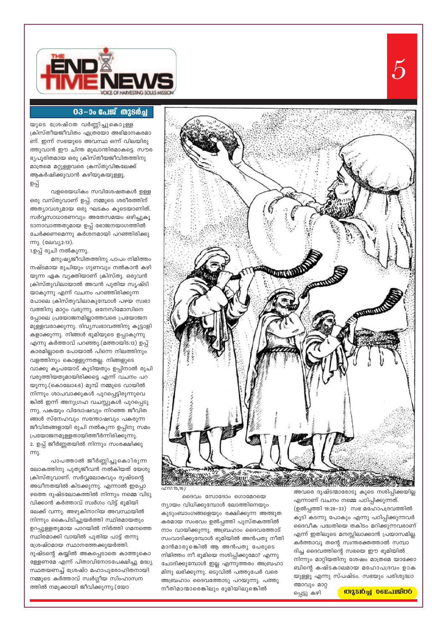

#### 03-ാം പേജ് തുടർച്ച

യുടെ ശ്രേഷ്ഠത വർണ്ണിച്ചുകൊുള്ള ക്രിസ്തീയജീവിതം എത്രയോ അഭിമാനകരമാ ണ്. ഇന്ന് സഭയുടെ അവസ്ഥ ഒന്ന് വിലയിരു ത്തുവാൻ ഈ ചിന്ത മുഖാന്തിരമാകട്ടെ. സൗര ഭ്യപൂരിതമായ ഒരു ക്രിസ്തീയജീവിതത്തിനു മാത്രമെ മറ്റുള്ളവരെ ക്രസ്തുവിങ്കലേക്ക് ആകർഷിക്കുവാൻ കഴിയുകയുള്ളൂ.

#### ഉപ്പ്

വളരെയധികം സവിശേഷതകൾ ഉള്ള ഒരു വസ്തുവാണ് ഉപ്പ്. നമ്മുടെ ശരീരത്തിന് അത്യാവശ്യമായ ഒരു ഘടകം കൂടെയാണിത്. സർവ്വസാധാരണവും അതേസമയം ഒഴിച്ചുകൂ ടാനാവാത്തതുമായ ഉപ്പ് ഭോജനയാഗത്തിൽ ചേർക്കണമെന്നു കർശനമായി പറഞ്ഞിരിക്കു ന്നു. (ലേവ്യ2:13).

1.ഉപ്പ് രുചി നൽകുന്നു.

മനുഷ്യജീവിതത്തിനു പാപം നിമിത്തം നഷ്ടമായ രുചിയും ഗുണവും നൽകാൻ കഴി യുന്ന ഏക വ്യക്തിയാണ് ക്രിസ്തു. ഒരുവൻ ക്രിസ്തുവിലായാൽ അവൻ പുതിയ സൃഷ്ടി യാകുന്നു എന്ന് വചനം പറഞ്ഞിരിക്കുന്ന പോലെ ക്രിസ്തുവിലാകുമ്പോൾ പഴയ സ്വഭാ വത്തിനു മാറ്റം വരുന്നു. ഒനേസിമോസിനെ പ്പോലെ പ്രയോജനമില്ലാത്തവരെ പ്രയോജന മുള്ളവരാക്കുന്നു. ദിവ്യസ്വഭാവത്തിനു കൂട്ടാളി കളാക്കുന്നു. നിങ്ങൾ ഭൂമിയുടെ ഉപ്പാകുന്നു എന്നു കർത്താവ് പറഞ്ഞു.(മത്തായി5:13) ഉപ്പ് കാരമില്ലാതെ പോയാൽ പിന്നെ നിലത്തിനും വളത്തിനും കൊള്ളുന്നതല്ല. നിങ്ങളുടെ വാക്കു കൃപയോട് കൂടിയതും ഉപ്പിനാൽ രുചി വരുത്തിയതുമായിരിക്കട്ടെ എന്ന് വചനം പറ യുന്നു.(കൊലോ4:6) മുമ്പ് നമ്മുടെ വായിൽ നിന്നും ശാപവാക്കുകൾ പുറപ്പെട്ടിരുന്നുവെ ങ്കിൽ ഇന്ന് അനുഗ്രഹ വചസ്സുകൾ പുറപ്പെടു ന്നു. പകയും വിദോഷവും നിറഞ്ഞ ജീവിത ങ്ങൾ സ്നേഹവും സന്തോഷവും പകരുന്ന ജീവിതങ്ങളായി രുചി നൽകുന്ന ഉപ്പിനു സമം പ്രയോജനമുള്ളതായിത്തീർന്നിരിക്കുന്നു. 2. ഉപ്പ് ജീർണ്ണതയിൽ നിന്നും സംരക്ഷിക്കു (m)

പാപത്താൽ ജീർണ്ണിച്ചുകൊിരുന്ന ലോകത്തിനു പുതുജീവൻ നൽകിയത് യേശു ക്രിസ്തുവാണ്. സർവ്വലോകവും ദുഷ്ടന്റെ അധീനതയിൽ കിടക്കുന്നു. എന്നാൽ ഇപ്പോ ഴത്തെ ദുഷ്ടലോകത്തിൽ നിന്നും നമ്മെ വിടു വിക്കാൻ കർത്താവ് സ്വർഗം വിട്ട് ഭൂമിയി ലേക്ക് വന്നു. അഴുകിനാറിയ അവസ്ഥയിൽ നിന്നും കൈപിടിച്ചുയർത്തി സ്ഥിരമായതും ഉറപ്പുള്ളതുമായ പാറയിൽ നിർത്തി ഗമനത്തെ സ്ഥിരമാക്കി വായിൽ പുതിയ പാട്ട് തന്നു ശ്രേഷ്ഠമായ സ്ഥാനത്തേക്കുയർത്തി. ദുഷ്ടന്റെ കയ്യിൽ അകപ്പെടാതെ കാത്തുകൊ ള്ളേണമേ എന്ന് പിതാവിനോടപേക്ഷിച്ചു മദ്ധ്യ സ്ഥതയണച്ച് ശ്രേഷ്ഠ മഹാപുരോഹിതനായി നമ്മുടെ കർത്താവ് സ്വർഗ്ഗീയ സിംഹാസന ത്തിൽ നമുക്കായി ജീവിക്കുന്നു.(യോ

കുടുംബാംഗങ്ങളെയും രക്ഷിക്കുന്ന അത്ഭുത കരമായ സംഭവം ഉൽപ്പത്തി പുസ്തകത്തിൽ നാം വായിക്കുന്നു. അബ്രഹാം ദൈവത്തോട് സംവാദിക്കുമ്പോൾ ഭൂമിയിൽ അൻപതു നീതി മാൻമാരുങ്കിൽ ആ അൻപതു പേരുടെ നിമിത്തം നീ ഭൂമിയെ നശിപ്പിക്കുമോ? എന്നു ചോദിക്കുമ്പോൾ ഇല്ല എന്നുത്തരം അബ്രഹാ മിനു ലഭിക്കുന്നു. ഒടുവിൽ പത്തുപേർ വരെ അബ്രഹാം ദൈവത്തോടു പറയുന്നു. പത്തു നീതിമാന്മാരെങ്കിലും ഭൂമിയിലുങ്കിൽ

ദൈവം സോദോം ഗൊമേറയെ

ന്യായം വിധിക്കുമ്പോൾ ലോത്തിനെയും

ത്മാവും മാറ്റ പ്പെട്ടു കഴി

#### **Mismal Defalssing**

എന്നാണ് വചനം നമ്മെ പഠിപ്പിക്കുന്നത്. (ഉൽപ്പത്തി 18:28-33) സഭ മഹോപദ്രവത്തിൽ കൂടി കടന്നു പോകും എന്നു പഠിപ്പിക്കുന്നവർ ദൈവീക പദ്ധതിയെ തകിടം മറിക്കുന്നവരാണ് എന്ന് ഇതിലൂടെ മനസ്സിലാക്കാൻ പ്രയാസമില്ല. കർത്താവു തന്റെ സ്വന്തരക്തത്താൽ സമ്പാ ദിച്ച ദൈവത്തിന്റെ സഭയെ ഈ ഭൂമിയിൽ നിന്നും മാറ്റിയതിനു ശേഷം മാത്രമെ യാക്കോ ബിന്റെ കഷ്ടകാലമായ മഹോപദ്രവം ഉാക യുള്ളൂ എന്നു സ്പഷ്ടം. സഭയും പരിശുദ്ധാ

അവരെ ദുഷ്ടന്മാരോടു കൂടെ നശിപ്പിക്കയില്ല

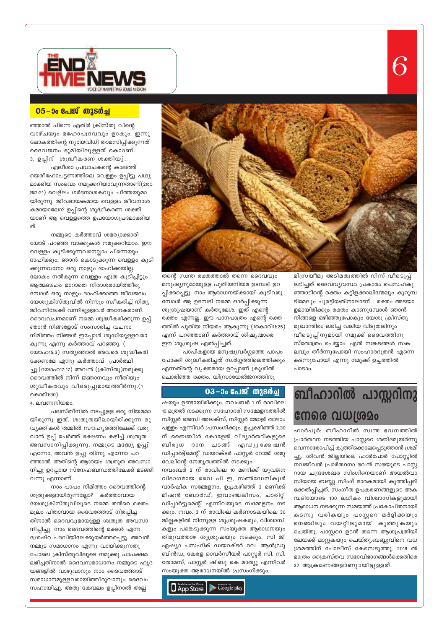

### 05-00 പേജ് തുടർച്ച

ഞ്ഞാൽ പിന്നെ എതിർ ക്രിസ്തു വിന്റെ വാഴ്ചയും മഹോപദ്രവവും ഉാകും. ഇന്നു ലോകത്തിന്റെ ന്യായവിധി താമസിപ്പിക്കുന്നത് ദൈവജനം ഭൂമിയിലുള്ളത് കൊാണ്. 3. ഉപ്പിന് ശുദ്ധീകരണ ശക്തിയു്.

ഏലീശാ പ്രവാചകന്റെ കാലത്ത് യെരീഹോപട്ടണത്തിലെ വെള്ളം ഉപ്പിട്ടു പഥ്യ മാക്കിയ സംഭവം നമുക്കറിയാവുന്നതാണ്(2രാ ജ2:21) വെള്ലം ഗർഭനാശകവും ചീത്തയുമാ യിരുന്നു. ജീവദായകമായ വെള്ളം ജീവനാശ കമായാലോ? ഉപ്പിന്റെ ശുദ്ധീകരണ ശക്തി യാണ് ആ വെള്ളത്തെ ഉപയോഗപ്രദമാക്കിയ ത്.

നമ്മുടെ കർത്താവ് ശമര്യാക്കാരി യോട് പറഞ്ഞ വാക്കുകൾ നമുക്കറിയാം. ഈ വെള്ളം കുടിക്കുന്നവനെല്ലാം പിന്നെയും ദാഹിക്കും; ഞാൻ കൊടുക്കുന്ന വെള്ളം കുടി ക്കുന്നവനോ ഒരു നാളും ദാഹിക്കയില്ല. ലോകം നൽകുന്ന വെള്ളം എത്ര കുടിച്ചിട്ടും ആത്മദാഹം മാറാതെ നിരാശരായിത്തീരു മ്പോൾ ഒരു നാളും ദാഹിക്കാത്ത ജീവജലം യേശുക്രിസ്തുവിൽ നിന്നും സ്വീകരിച്ച് നിത്യ ജീവനിലേക്ക് വന്നിട്ടുള്ളവർ അനേകരാണ്. ദൈവവചനമാണ് നമ്മെ ശുദ്ധീകരിക്കുന്ന ഉപ്പ്. ഞാൻ നിങ്ങളോട് സംസാരിച്ച വചനം നിമിത്തം നിങ്ങൾ ഇപ്പോൾ ശുദ്ധിയുള്ളവരാ കുന്നു എന്നു കർത്താവ് പറഞ്ഞു. ( യോഹ15:3) സത്യത്താൽ അവരെ ശുദ്ധീകരി ക്കേണമേ എന്നു കർത്താവ് പ്രാർത്ഥി ച്ചു.(യോഹ17:17) അവൻ (ക്രിസ്തു)നമുക്കു ദൈവത്തിൽ നിന്ന് ജ്ഞാനവും നീതിയും ശുദ്ധീകരവും വീടെുപ്പുമായത്തീർന്നു.(1 കൊരി1:30)

4. ലവണനിയമം.

പലസ്തീനിൽ നടപ്പുള്ള ഒരു നിയമമാ യിരുന്നു ഇത്. ശത്രുതയിലായിരിക്കുന്ന രു വ്യക്തികൾ തമ്മിൽ സൗഹൃദത്തിലേക്ക് വരു വാൻ ഉപ്പ് ചേർത്ത് ഭക്ഷണം കഴിച്ച് ശത്രുത അവസാനിപ്പിക്കുന്നു. നമ്മുടെ മദ്ധ്യേ ഉപ്പു് എന്നോ, അവൻ ഉപ്പു തിന്നു എന്നോ പറ ഞ്ഞാൽ അതിന്റെ ആശയം ശത്രുത അവസാ നിച്ചു ഉറപ്പായ സ്നേഹബന്ധത്തിലേക്ക് മടങ്ങി വന്നു എന്നാണ്.

നാം പാപം നിമിത്തം ദൈവത്തിന്റെ ശത്രുക്കളായിരുന്നല്ലോ? കർത്താവായ യേശുക്രിസ്തുവിലൂടെ നമ്മെ തൻരെ രക്തം മൂലം പിതാവായ ദൈവത്തോട് നിരപ്പിച്ച തിനാൽ ദൈവവുമായുള്ള ശത്രുത അവസാ നിപ്പിച്ചു. നാം ദൈവത്തിന്റെ മക്കൾ എന്ന ശ്രേഷ്ഠ പദവിയിലേക്കുയർത്തപ്പെട്ടു. അവൻ നമ്മുട സമാധാനം എന്നു വായിക്കുന്നതു പോലെ ക്രിസ്തുവിലൂടെ നമുക്കു പാപക്ഷമ ലഭിച്ചതിനാൽ ദൈവസമാധാനം നമ്മുടെ ഹൃദ യങ്ങളിൽ വാഴുവാനും നാം ദൈവത്തോട് സമാധാനമുള്ളവരായിത്തീരുവാനും ദൈവം സഹായിച്ചു. അതു കേവലം ഉപ്പിനാൽ അല്ല



തന്റെ സ്വന്ത രക്തത്താൽ തന്നെ ദൈവവു<mark>ം</mark> മനുഷ്യനുമായുള്ള പുതിയനിയമ ഉടമ്പടി ഉറ പ്പിക്കപ്പെട്ടു. നാം ആരാധനയ്ക്കായി കൂടിവര<mark>ു</mark> മ്പോൾ ആ ഉടമ്പടി നമ്മെ ഓർപ്പിക്കുന്ന ശുശ്രൂഷയാണ് കർതൃമേശ. ഇത് എന്റെ രക്തം എന്നല്ല. ഈ പാനപാത്രം എന്റെ രക്ത ത്തിൽ പുതിയ നിയമം ആകുന്നു (1കൊരി11:25) എന്ന് പറഞ്ഞാണ് കർത്താവ് ശിഷ്യന്മാരെ ഈ ശുശ്രൂഷ ഏൽപ്പിച്ചത്.

പാപികളായ മനുഷ്യവർഗ്ഗത്തെ പാപം പോക്കി ശുദ്ധീകരിച്ചത് സ്വർഗ്ഗത്തിലെത്തിക്കും എന്നതിന്റെ വ്യക്തമായ ഉറപ്പാണ് ക്രൂശിൽ ചൊരിഞ്ഞ രക്തം. യിസ്രായേൽജനത്തിനു

### <u>03-ാം പേജ് തുടർച്ച</u>

ഷയും ഉണ്ടായിരിക്കും. നവംബർ 1 ന് രാവിലെ 10 മുതൽ നടക്കുന്ന സഹോദരി സമ്മേളനത്തിൽ സിസ്റ്റർ ജെസി അലക്സ്, സിസ്റ്റർ ജോളി താഴാം പള്ളം എന്നിവർ പ്രസംഗിക്കും. ഉച്ചകഴിഞ്ഞ് 2.30 ന് ബൈബിൾ കോളേജ് വിദ്യാർത്ഥികളുടെ ബിരുധ ദാന ചടങ്ങ് എഡ്യുക്കേഷൻ ഡിപ്പാർട്ട്മെന്റ് ഡയറക്ടർ പാസ്റ്റർ റോജി ശമു വേലിന്റെ നേതൃത്വത്തിൽ നടക്കും.

നവംബർ 2 ന് രാവിലെ 10 മണിക്ക് യുവജന വിഭാഗമായ വൈ പി ഇ, സൺഡേസ്കൂൾ വാർഷിക സമ്മേളനം, ഉച്ചകഴിഞ്ഞ് 2 മണിക്ക് മിഷൻ ബോർഡ്, ഇവാഞ്ചലിസം, ചാരിറ്റി ഡിപ്പാർട്ടുമെന്റ് എന്നിവയുടെ സമ്മേളനം നട ക്കും. നവം. 3 ന് രാവിലെ കർണാടകയിലെ 30 ജില്ലകളിൽ നിന്നുള്ള ശുശ്രൂഷകരും, വിശ്വാസി കളും പങ്കെടുക്കുന്ന സംയുക്ത ആരാധനയും തിരുവത്താഴ ശുശ്രൂഷയും നടക്കും. സി ജി ഏഷ്യാ പസഫിക് ഡയറക്ടർ റവ. ആൻഡ്രു ബിൻഡ, കേരള ഓവർസീയർ പാസ്റ്റർ സി. സി. തോമസ്, പാസ്റ്റർ ഷിബു കെ മാത്യൂ എന്നിവർ സംയുക്ത ആരാധനയിൽ പ്രസംഗിക്കും.

# ബീഹാറിൽ പാസ്റ്ററിനു നേരെ വധശ്രമം

മിസ്രയീമ്യ അടിമത്വത്തിൽ നിന്ന് വീട്ടെപ്പ്

ലഭിച്ചത് ദൈവവ്യവസ്ഥ പ്രകാരം പെസഹകു

ഞ്ഞാടിന്റെ രക്തം കട്ടിളക്കാലിന്മേലും കുറുമ്പ

ടിമേലും പുരട്ടിയതിനാലാണ് . രക്തം അടയാ

ളമായിരിക്കും രക്തം കാണുമ്പോൾ ഞാൻ

നിങ്ങളെ ഒഴിഞ്ഞുപോകും യേശു ക്രിസ്തു

മുഖാന്തിരം ലഭിച്ച വലിയ വിടുതലിനും

കടന്നുപോയി എന്നു നമുക്ക് ഉച്ചത്തിൽ

പാടാം.

വീടുെപ്പിനുമായി നമുക്ക് ദൈവത്തിനു

സ്തോത്രം ചെയ്യാം. എൻ സങ്കടങ്ങൾ സക

ലവും തീർന്നുപോയി സംഹാരദൂതൻ എന്നെ

ഹാർപൂർ: ബീഹാറിൽ സ്വന്ത ഭവനത്തിൽ പ്രാർത്ഥന നടത്തിയ പാസ്റ്ററെ ശബ്ദമുയർന്നു വെന്നാരോപിച്ച് കുത്തിക്കൊലപ്പെടുത്താൻ ശ്രമി ച്ചു. ശിവൻ ജില്ലയിലെ ഹാർപോർ പോസ്റ്റിൽ നവജീവൻ പ്രാർത്ഥനാ ഭവൻ സഭയുടെ പാസ്റ്റ റായ ചന്ദ്രശേഖര സിംഗിനെയാണ് അയൽവാ സിയായ ബബ്ലു സിംഗ് മാരകമായി കുത്തിപ്പരി ക്കേൽപ്പിച്ചത്. സംഗീത ഉപകരണങ്ങളുടെ അക മ്പടിയോടെ 100 ലധികം വിശ്വാസികളുമായി ആരാധന നടക്കുന്ന സമയത്ത് പ്രകോപിതനായി കടന്നു വരികയും പാസ്റ്ററെ മർദ്ദിക്കയും നെഞ്ചിലും വയറ്റിലുമായി കുത്തുകയും ചെയ്തു. പാസ്റ്ററെ ഉടൻ തന്നെ ആശുപത്രിയി ലേയക്ക് മാറ്റുകയും ചെയ്തു.ബബ്ലുവിനെ വധ ശ്രമത്തിന് പോലീസ് കേസെടുത്തു. 2018 ൽ മാത്രം ക്രൈസ്തവ സഭാവിഭാഗങ്ങൾക്കെതിരെ 27 ആക്രമണങ്ങളാണുായിട്ടുള്ളത്.

App Store Coogle play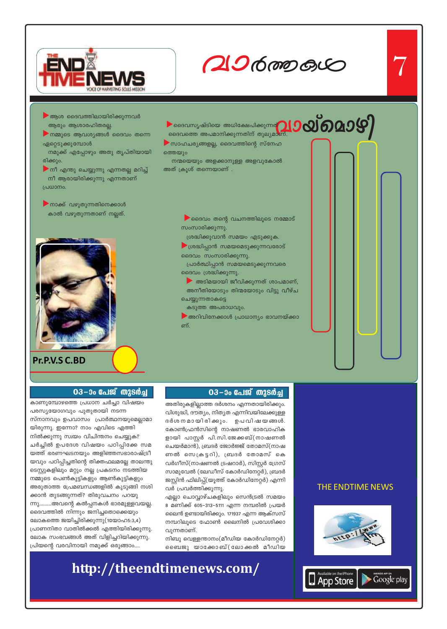

 $206$  mp  $60$ 

 $\begin{picture}(100,10) \put(0,0){\line(1,0){100}} \put(10,0){\line(1,0){100}} \put(10,0){\line(1,0){100}} \put(10,0){\line(1,0){100}} \put(10,0){\line(1,0){100}} \put(10,0){\line(1,0){100}} \put(10,0){\line(1,0){100}} \put(10,0){\line(1,0){100}} \put(10,0){\line(1,0){100}} \put(10,0){\line(1,0){100}} \put(10,0){\line(1,0){100}}$ 

- $\blacktriangleright$ ആശ ദൈവത്തിലായിരിക്കുന്നവർ ആരും ആശാരഹിതരല്ല.
- ▶ നമ്മുടെ ആവശ്യങ്ങൾ ദൈവം തന്നെ ഏറ്റെടുക്കുമ്പോൾ
- നമുക്ക് എപ്പോഴും അതു തൃപ്തിയായി രിക്കും.
- ▶് നീ എന്തു ചെയ്യുന്നു എന്നതല്ല മറിച്ച് നീ ആരായിരിക്കുന്നു എന്നതാണ് പ്രധാനം.
- $\blacktriangleright$ നാക്ക് വഴുതുന്നതിനെക്കാൾ കാൽ വഴുതുന്നതാണ് നല്ലത്.



Pr.P.V.S C.BD

 $\blacktriangleright$  ദൈവം തന്റെ വചനത്തിലൂടെ നമ്മോട് സംസാരിക്കുന്നു.

ശ്രദ്ധിക്കുവാൻ സമയം എടുക്കുക.

ദൈവത്തെ അപമാനിക്കുന്നതിന് തുല്യമാണ്.

 $\blacktriangleright$  സാഹചര്യങ്ങളല്ല, ദൈവത്തിന്റെ സ്നേഹ

നന്മയെയും അളക്കാനുള്ള അളവുകോൽ

ത്തെയും

അത് ക്രൂശ് തന്നെയാണ് .

- ▶ ശ്രദ്ധിപ്പാൻ സമയമെടുക്കുന്നവരോട് ദൈവം സംസാരിക്കുന്നു.
- പ്രാർത്ഥിപ്പാൻ സമയമെടുക്കുന്നവരെ ദൈവം ശ്രദ്ധിക്കുന്നു.
- <u>▶ അടിമയായി ജീവിക്കുന്നത് ശാപമാണ്,</u> അനീതിയോടും തിന്മയോടും വിട്ടു വീഴ്ച ചെയ്യുന്നതാകട്ടെ
- കടുത്ത അപരാധവും.
- ▶ അറിവിനേക്കാൾ പ്രാധാന്യം ഭാവനയ്ക്കാ ണ്.



#### 03-ാം പേജ് തുടർച്ച

### 03 – ാം പേജ് തുടർച്ച

കാണുമ്പോഴത്തെ പ്രധാന ചർച്ചാ വിഷയം പരസ്യയോഗവും പുതുതായി നടന്ന സ്നാനവും ഉപവാസം പ്രാർത്ഥനയുമെല്ലാമാ യിരുന്നു. ഇന്നോ? നാം എവിടെ എത്തി നിൽക്കുന്നു സ്വയം വിചിന്തനം ചെയ്യുക? ചർച്ചിൽ ഉപദേശ വിഷയം പഠിപ്പിക്കേ സമ യത്ത് ഭരണഘടനയും അളിഞ്ഞസഭാരാഷ്ട്രീ യവും പഠിപ്പിച്ചതിന്റെ തിക്തഫലമല്ലേ താലന്തു ടെസ്റ്റുകളിലും മറ്റും നല്ല പ്രകടനം നടത്തിയ നമ്മുടെ പെൺകുട്ടികളും ആൺകുട്ടികളും അരുതാത്ത പ്രേമബന്ധങ്ങളിൽ കുടുങ്ങി നശി ക്കാൻ തുടങ്ങുന്നത്? തിരുവചനം പറയു ന്നു.........അവന്റെ കൽപ്പനകൾ ഭാരമുള്ളവയല്ല. ദൈവത്തിൽ നിന്നും ജനിച്ചതൊക്കെയും ലോകത്തെ ജയിച്ചിരിക്കുന്നു(1യോഹ5:3,4) പ്രാണനിതാ വാതിൽക്കൽ എത്തിയിരിക്കുന്നു. ലോക സംഭവങ്ങൾ അത് വിളിച്ചറിയിക്കുന്നു. പ്രിയന്റെ വരവിനായി നമുക്ക് ഒരുങ്ങാം....

അതിരുകളില്ലാത്ത ദർശനം എന്നതായിരിക്കും. വിശുദ്ധി, ദൗത്യം, നിത്യത എന്നിവയിലേക്കുള്ള ദർശ നമായിരിക്കും. ഉപവിഷയങ്ങൾ. കോൺഫ്രൻസിന്റെ നാഷണൽ ഭാരവാഹിക ളായി പാസ്റ്റർ പി.സി.ജേക്കബ്(നാഷണൽ ചെയർമാൻ), ബ്രദർ ജോർജ്ജ് തോമസ്(നാഷ ണൽ സെക്രട്ടറി), ബ്രദർ തോമസ് കെ വർഗീസ്(നാഷണൽ ട്രഷറാർ), സിസ്റ്റർ ഗ്രേസ് സാമുവേൽ (ലേഡീസ് കോർഡിനേറ്റർ), ബ്രദർ ജസ്റ്റിൻ ഫിലിപ്പ്(യൂത്ത് കോർഡിനേറ്റർ) എന്നി വർ പ്രവർത്തിക്കുന്നു. എല്ലാ ചൊവ്വാഴ്ചകളിലും സെൻട്രൽ സമയം

8 മണിക്ക് 605–313–5111 എന്ന നമ്പരിൽ പ്രയർ

ലൈൻ ഉണ്ടായിരിക്കും. 171937 എന്ന ആക്സസ്

നമ്പറിലൂടെ ഫോൺ ലൈനിൽ പ്രവേശിക്കാ

നിബു വെള്ളന്താനം(മീഡിയ കോർഡിനേറ്റർ)

ബൈജു യാക്കോബ്(ലോക്കൽ മീഡിയ

വുന്നതാണ്.

http://theendtimenews.com/



### **THE ENDTIME NEWS**

App Store Google play

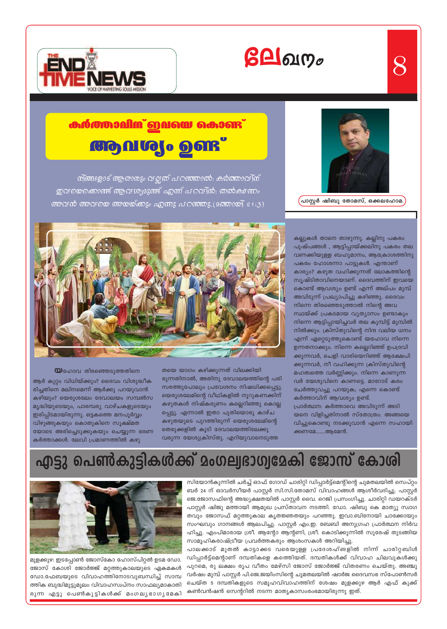



# <u> കർത്താപിന് ഇവയെ കൊണ്ട്</u> **adudo deux**

<u> സ്ങ്ങളോട് ആരാനും വല്ലത് പറഞ്ഞാൽ: കർത്താവ്(സ്</u> ഇവയെക്കൊണ്ട് ആവശ്യമുണ്ട് എന്ന് പറവി്ൻ; തൽക്ഷണം അവൻ അവയെ അയയ്ക്കും എന്നു പറഞ്ഞു.(മത്തായി 21:3)



 $8$ 

്പാസ്റ്റർ ഷിബു തോമസ്, ഒക്കലഹോമ.



 $\mathbf \omega$ ഹോവ തിരഞ്ഞെടുത്തതിനെ

ആർ കുറ്റം വിധിയ്ക്കും? ദൈവം വിശുദ്ധീക രിച്ചതിനെ മലിനമെന്ന് ആർക്കു പറയുവാൻ കഴിയും? യെരുശലേം ദേവാലയം സമ്പൽസ മൃദ്ധിയുടെയും, പാരമ്പര്യ വാഴ്ചകളുടെയും ഇരിപ്പിടമായിരുന്നു. ഒട്ടകത്തെ മനപൂർവ്വം വിഴുങ്ങുകയും കൊതുകിനെ സൂക്ഷ്മത യോടെ അരിച്ചെടുക്കുകയും ചെയ്യുന്ന ഭരണ കർത്താക്കൾ. ലേവി പ്രമാണത്തിൽ കഴു

തയെ യാഗം കഴിക്കുന്നത് വിലക്കിയി രുന്നതിനാൽ, അതിനു ദേവാലയത്തിന്റെ പരി സരത്തുപോലും പ്രവേശനം നിഷധിക്കപ്പെട്ടു. യെരുശലേമിന്റെ വീഥികളിൽ നൂറുകണക്കിന് കഴുതകൾ നിഷ്കരുണം കല്ലെറിഞ്ഞു കൊല്ല പ്പെട്ടു. എന്നാൽ ഇതാ പുതിയൊരു കാഴ്ച കഴുതയുടെ പുറത്തിരുന്ന് യെരുശലേമിന്റെ തെരുക്കളിൽ കൂടി ദേവാലയത്തിലേക്കു വരുന്ന യേശുക്രിസ്തു. എറിയുവാനെടുത്ത

കല്ലുകൾ താനെ താഴുന്നു. കല്ലിനു പകരം പുഷ്പങ്ങൾ , ആട്ടിപ്പായ്ക്കലിനു പകരം തല വണക്കിയുള്ള ബഹുമാനം, ആക്രോശത്തിനു പകരം ഹോശന്നാ പാട്ടുകൾ. എന്താണ് കാര്യം? കഴുത വഹിക്കുന്നത് ലോകത്തിന്റെ സൃഷ്ടിതാവിനെയാണ്. ദൈവത്തിന് ഇവയെ കൊണ്ട് ആവശ്യം ഉണ്ട് എന്ന് അല്പം മുമ്പ് അവിടുന്ന് പ്രഖ്യാപിച്ചു കഴിഞ്ഞു. ദൈവം നിന്നെ തിരഞ്ഞെടുത്താൽ നിന്റെ അവ സ്ഥയ്ക്ക് പ്രകടമായ വ്യത്യാസം ഉണ്ടാകും നിന്നെ ആട്ടിപ്പായിച്ചവർ തല കുമ്പിട്ട് മുമ്പിൽ നിൽക്കും. ക്രിസ്തുവിന്റെ നിന്ദ വലിയ ധനം എന്ന് ഏറ്റെടുത്തുകൊണ്ട് യഹോവ നിന്നെ ഉന്നതനാക്കും. നിന്നെ കല്ലെറിഞ്ഞ് ഉപദ്രവി ക്കുന്നവർ, ചെളി വാരിയെറിഞ്ഞ് ആക്ഷേപി ക്കുന്നവർ, നീ വഹിക്കുന്ന ക്രിസ്തുവിന്റെ മഹത്വത്തെ വർണ്ണിക്കും. നിന്നെ കാണുന്ന വർ യേശുവിനെ കാണട്ടെ. മാറോട് കരം ചേർത്തുവച്ചു പറയുക; എന്നെ കൊണ്ട് കർത്താവിന് ആവശ്യം ഉണ്ട്. പ്രാർത്ഥന: കർത്താവെ അവിടുന്ന് അടി യനെ വിളിച്ചതിനാൽ സ്തോത്രം. അങ്ങയെ വിച്ചുകൊണ്ടു നടക്കുവാൻ എന്നെ സഹായി ക്കണമേ.......ആമേൻ.

# എട്ടു പെൺകുട്ടികൾക്ക് മംഗല്വഭാഗ്വമേകി ജോസ് കോശി



മുളക്കുഴ: ഇടപ്പോൺ ജോസ്കോ ഹോസ്പിറ്റൽ ഉടമ ഡോ. ജോസ് കോശി ജോർജ്ജ് മറ്റത്തുകാലയുടെ ഏകമകൾ ഡോ.ഫേബയുടെ വിവാഹത്തിനോടവുബന്ധിച്ച് സാമ്പ ത്തിക ബുദ്ധിമുട്ടുമൂലം വിവാഹസ്വപ്നം സാഫല്യമാകാതി രുന്ന എട്ടു പെൺകുട്ടികൾക്ക് മംഗലൃഭാഗൃമേകി

സിയോൻകുന്നിൽ ചർച്ച് ഓഫ് ഗോഡ് ചാരിറ്റി ഡിപ്പാർട്ട്മെന്റിന്റെ ചുമതലയിൽ സെപ്റ്റം ബർ 24 ന് ഓവർസീയർ പാസ്റ്റർ സി.സി.തോമസ് വിവാഹങ്ങൾ ആശീർവദിച്ചു. പാസ്റ്റർ ജെ.ജോസഫിന്റെ അദ്ധ്യക്ഷതയിൽ പാസ്റ്റർ വൈ. റെജി പ്രസംഗിച്ചു. ചാരിറ്റി ഡയറക്ടർ പാസ്റ്റർ ഷിജു മത്തായി ആമുഖ പ്രസ്താവന നടത്തി. ഡോ. ഷിബു കെ മാത്യു സ്വാഗ തവും ജോസഫ് മറ്റത്തുകാല കൃതജ്ഞതയും പറഞ്ഞു. ഇവാ.ബിനോയി ചാക്കോയും സംഘവും ഗാനങ്ങൾ ആലപിച്ചു. പാസ്റ്റർ എം.ഇ. ബേബി അനുഗ്രഹ പ്രാർത്ഥന നിർവ ഹിച്ചു. എംപിമാരായ ശ്രീ. ആന്റോ ആന്റണി, ശ്രീ. കൊടിക്കുന്നിൽ സുരേഷ് തുടങ്ങിയ സാമൂഹികരാഷ്ട്രീയ പ്രവർത്തകരും ആശംസകൾ അറിയിച്ചു.

പാലക്കാട് മുതൽ കാട്ടാക്കട വരെയുള്ള പ്രദേശഹ്ങളിൽ നിന്ന് ചാരിറ്റബിൾ ഡിപ്പാർട്ട്മെന്റാണ് ദമ്പതികളെ കത്തിെയത്. ദമ്പതികൾക്ക് വിവാഹ ചിലവുകൾക്കു പുറമെ, രു ലക്ഷം രൂപ വീതം മേഴ്സി ജോസ് ജോർജ്ജ് വിതരണം ചെയ്തു. അഞ്ചു വർഷം മുമ്പ് പാസ്റ്റർ പി.ജെ.ജയിംസിന്റെ ചുമതലയിൽ ഷാർജ ദൈവസഭ സ്പോൺസർ ചെയ്ത 5 ദമ്പതികളുടെ സമൂഹവിവാഹത്തിന് ശേഷം മുളക്കുഴ ആർ എഫ് കുക്ക് കൺവൻഷൻ സെന്ററിൽ നടന്ന മാതൃകാസംരംഭമായിരുന്നു ഇത്.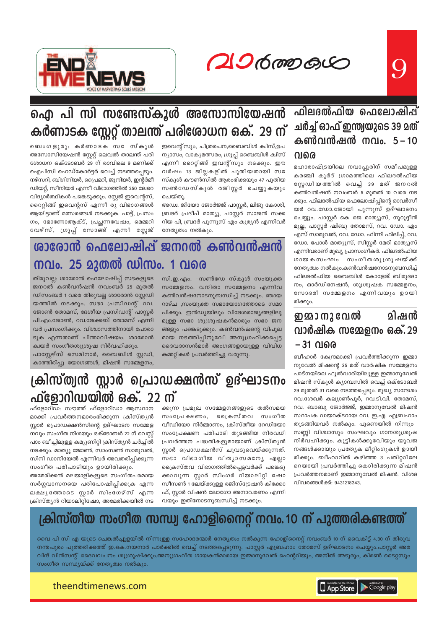20600000



# <u>ഫിലദൽഫിയ ഫെലോഷിപ്പ്</u> ചർച്ച് ഓഫ് ഇന്ത്യയുടെ 39 മത് കൺവൻഷൻ നവം. 5-10 വരെ

മഹാരാഷ്ട്രയിലെ നവാപ്പൂരിന് സമീപമുള്ള കരഞ്ചി കുർദ് ഗ്രാമത്തിലെ ഫിലദൽഫിയ സ്റ്റേഡിയത്തിൽ വെച്ച് 39 മത് ജനറൽ കൺവൻഷൻ നവംബർ 5 മുതൽ 10 വരെ നട ക്കും. ഫിലദൽഫിയ ഫെലോഷിപ്പിന്റെ ഓവർസീ യർ റവ.ഡോ.ജോയി പുന്നൂസ് ഉദ്ഘാടനം ചെയ്യും. പാസ്റ്റർ കെ ജെ മാത്യൂസ്, നൂറുദ്ദീൻ മുല്ല, പാസ്റ്റർ ഷിബു തോമസ്, റവ. ഡോ. എം എസ് സാമുവൽ, റവ. ഡോ. ഫിന്നി ഫിലിപ്പ്, റവ. ഡോ. പോൾ മാത്യൂസ്, സിസ്റ്റർ മേരി മാത്യൂസ് എന്നിവരാണ് മുഖ്യ പ്രാസംഗീകർ. ഫിലദൽഫിയ ഗായകസംഘം സംഗീതശുശ്രൂഷയ്ക്ക് നേതൃത്വം നൽകും.കൺവൻഷനോടനുബന്ധിച്ച് ഫിലദൽഫിയ ബൈബിൾ കോളേജ് ബിരുദദാ നം, ഓർഡിനേഷൻ, ശുശ്രൂഷക സമ്മേളനം, സോദരി സമ്മേളനം എന്നിവയും ഉായി രിക്കും.

### ഇമാനുവേൽ മിഷൻ വാർഷിക സമ്മേളനം ഒക്. 29 –31 വരെ

ബീഹാർ കേന്ദ്രമാക്കി പ്രവർത്തിക്കുന്ന ഇമ്മാ നുവേൽ മിഷന്റെ 35 മത് വാർഷിക സമ്മേളനം പാട്നയിലെ ഫുൽവാരിയിലുള്ള ഇമ്മാനുവേൽ മിഷൻ സ്കൂൾ ക്യാമ്പസിൽ വെച്ച് ഒക്ടോബർ 29 മുതൽ 31 വരെ നടത്തപ്പെടും. മുഖ്യ സന്ദേശം റവ.ശേഖർ കല്യാൺപൂർ, റവ.ടി.വി. തോമസ്, റവ. ബാബു ജോർജ്ജ്, ഇമ്മാനുവേൽ മിഷൻ സ്ഥാപക ഡയറക്ടറായ റവ. ഇ.എ. എബ്രഹാം

തുടങ്ങിയവർ നൽകും. പൂണെയിൽ നിന്നും സണ്ണി വിശ്വാസും സംഘവും ഗാനശുശ്രൂഷ നിർവഹിക്കും. കുട്ടികൾക്കുവേിയും യുവജ നങ്ങൾക്കായും പ്രത്യേക മീറ്റിംഗുകൾ ഉായി രിക്കും. ബീഹാറിൽ കഴിഞ്ഞ 3 പതിറ്റാിലേ റെയായി പ്രവർത്തിച്ചു കൊിരിക്കുന്ന മിഷൻ പ്രവർത്തനമാണ് ഇമ്മാനുവേൽ മിഷൻ. വിശദ വിവരങ്ങൾക്ക്: 9431218243.

# ഐ പി സി സണ്ടേസ്കൂൾ അസോസിയേഷൻ കർണാടക സ്റ്റേറ്റ് താലന്ത് പരിശോധന ഒക്. 29 ന്

ഇവെന്റ് സും, ചിത്രരചന,ബൈബിൾ ക്വിസ്,ഉപ ന്യാസം, വാക്യമത്സരം, ഗ്രൂപ്പ് ബൈബിൾ ക്വിസ് എന്നീ റൈറ്റിങ്ങ് ഇവന്റ്സും നടക്കും. ഈ വർഷം 13 ജില്ലകളിൽ പുതിയതായി സഭ സ്കൂൾ കൗൺസിൽ ആരംഭിക്കയും 47 പുതിയ സൺഡേസ്കൂൾ രജിസ്റ്റർ ചെയ്യുകയും ചെയ്തു.

അഡ്വ. ജിയോ ജോർജ്ജ് പാസ്റ്റർ, ലിജു കോശി, ബ്രദർ പ്രദീപ് മാത്യൂ, പാസ്റ്റർ സാജൻ സക്ക റിയ പി, ബ്രദർ പുന്നൂസ് എം കുര്യൻ എന്നിവർ നേതൃത്വം നൽകും.

ബെംഗളൂരു: കർണാടക സ േസ്കൂൾ അസോസിയേഷൻ സ്റ്റേറ്റ് ലെവൽ താലന്ത് പരി ശോധന ഒക്ടോബർ 29 ന് രാവിലെ 9 മണിക്ക് ഐപിസി ഹെഡ്കോർട്ടർ വെച്ച് നടത്തപ്പെടും. നഴ്സറി, ബിഗിനിയർ, പ്രൈമറി, ജൂനിയർ, ഇന്റർമീ ഡിയറ്റ്, സീനിയർ എന്നീ വിഭാഗത്തിൽ 250 ലേറെ വിദ്യാർത്ഥികൾ പങ്കെടുക്കും. സ്റ്റേജ് ഇവെന്റസ്, റൈറ്റിങ്ങ് ഇവെന്റസ് എന്നീ രു വിഭാഗങ്ങൾ ആയിട്ടാണ് മത്സരങ്ങൾ നടക്കുക. പാട്ട്, പ്രസം ഗം, മോണോആക്ട്, പ്രച്ഛന്നവേഷം, മെമ്മറി വേഴ്സ്, ഗ്രൂപ്പ് സോങ്ങ് എന്നീ സ്റ്റേജ്

# ശാരോൻ ഫെലോഷിപ്പ് ജനറൽ കൺവൻഷൻ നവം. 25 മുതൽ ഡിസം. 1 വരെ

തിരുവല്ല: ശാരോൻ ഫെലോഷിപ്പ് സഭകളുടെ ജനറൽ കൺവൻഷൻ നവംബർ 25 മുതൽ ഡിസംബർ 1 വരെ തിരുവല്ല ശാരോൻ സ്റ്റേഡി യത്തിൽ നടക്കും. സഭാ പ്രസിഡന്റ് റവ. ജോൺ തോമസ്, ദേശീയ പ്രസിഡന്റ് പാസ്റ്റർ പി.എം.ജോൺ, റവ.ജേക്കബ് തോമസ് എന്നി വർ പ്രസംഗിക്കും. വിശ്വാസത്തിനായി പോരാ ടുക എന്നതാണ് ചിന്താവിഷയം. ശാരോൻ ക്വയർ സംഗീതശുശ്രൂഷ നിർവഹിക്കും.

പാസ്റ്റേഴ്സ് സെമിനാർ, ബൈബിൾ സ്റ്റഡി, കാത്തിരിപ്പു യോഗങ്ങൾ, മിഷൻ സമ്മേളനം,

സി.ഇ.എം. -സൺഡേ സ്കൂൾ സംയൂക്ത സമ്മേളനം. വനിതാ സമ്മേളനം എന്നിവ കൺവൻഷനോടനുബന്ധിച്ച് നടക്കും. ഞായ റാഴ്ച ,സംയുക്ത സഭായോഗത്തോടെ സമാ പിക്കും. ഇൻഡ്യയിലും വിദേശരാജ്യങ്ങളിലു മുള്ള സഭാ ശുശ്രൂഷകൻമാരും സഭാ ജന ങ്ങളും പങ്കെടുക്കും. കൺവൻഷന്റെ വിപുല മായ നടത്തിപ്പിനുവേി അനുഗ്രഹിക്കപ്പെട്ട ദൈവദാസൻമാർ അംഗങ്ങളായുള്ള വിവിധ കമ്മറ്റികൾ പ്രവർത്തിച്ചു വരുന്നു.

# ക്രിസ്ത്വൻ സ്റ്റാർ പ്രൊഡക്ഷൻസ് ഉദ്ഘാടനം ഫ്ളോറിഡയിൽ ഒക്. 22 ന്

ഫ്ളോറിഡ: സൗത്ത് ഫ്ളോറിഡാ ആസ്ഥാന മാക്കി പ്രവർത്തനമാരംഭിക്കുന്ന ക്രിസ്തൃൻ സ്റ്റാർ പ്രൊഡക്ഷൻസിന്റെ ഉദ്ഘാടന സമ്മേള നവും സംഗീത നിശയും ഒക്ടോബർ 22 ന് വെസ്റ്റ് പാം ബീച്ചിലുള്ള കമ്യൂണിറ്റി ക്രിസ്ത്യൻ ചർച്ചിൽ നടക്കും. മാത്യൂ ജോൺ, സാംസൺ സാമുവൽ, സിനി ഡാനിയേൽ എന്നിവർ അവതരിപ്പിക്കുന്ന സംഗീത പരിപാടിയും ഉായിരിക്കും.

അമേരിക്കൻ മലയാളികളുടെ സംഗീതപരമായ സർഗ്ഗവാസനയെ പരിപോഷിപ്പിക്കുക എന്ന ലക്ഷ്യത്തോടെ സ്റ്റാർ സിംഗേഴ്സ് എന്ന ക്രിസ്ത്യൻ റിയാലിറ്റിഷോ, അമേരിക്കയിൽ നട

ക്കുന്ന പ്രമുഖ സമ്മേളനങ്ങളുടെ തൽസമയ പൈകസ്തവ സംപ്രേക്ഷണം, സംഗീത വീഡിയോ നിർമ്മാണം, ക്രിസ്തീയ റേഡിയോ സംപ്രേക്ഷണ പരിപാടി തുടങ്ങിയ നിരവധി പ്രവർത്തന പദ്ധതികളുമായാണ് ക്രിസ്തൃൻ സ്റ്റാർ പ്രൊഡക്ഷൻസ് ചുവടുവെയ്ക്കുന്നത്. സഭാ വിഭാഗീയ വിത്യാസമന്യേ എല്ലാ ക്രൈസ്തവ വിഭാഗത്തിൽപ്പെട്ടവർക്ക് പങ്കെടു ക്കാവുന്ന സ്റ്റാർ സിംഗർ റിയാലിറ്റി ഷോ സീസൺ 1 ലേയ്ക്കുള്ള രജിസ്ട്രേഷൻ കിക്കോ ഫ്, സ്റ്റാർ വിഷൻ ലോഗോ അനാവരണം എന്നി വയും ഇതിനോടനുബന്ധിച്ച് നടക്കും.

### ക്രിസ്തീയ സംഗീത സന്ധ്വ ഹോളിനൈറ്റ് നവം. 10 ന് പുത്തരികണ്ടത്ത് <u>0</u>

വൈ പി സി എ യുടെ ചെങ്കൽച്ചൂളയിൽ നിന്നുള്ള സഹോദരന്മാർ നേതൃത്വം നൽകുന്ന ഹോളിനൈറ്റ് നവംബർ 10 ന് വൈകിട്ട് 4.30 ന് തിരുവ നന്തപുരം പുത്തരിക്കത്ത് ഇ.കെ.നയനാർ പാർക്കിൽ വെച്ച് നടത്തപ്പെടുന്നു. പാസ്റ്റർ എബ്രഹാം തോമസ് ഉദ്ഘാടനം ചെയ്യും.പാസ്റ്റർ അര വിന്ദ് വിൻസന്റ് ദൈവവചനം ശുശ്രൂഷിക്കും.അനുഗ്രഹീത ഗായകൻമാരായ ഇമ്മാനുവേൽ ഹെന്ററിയും, അനിൽ അടൂരും, കിരൺ ടൈറ്റസും സംഗീത സന്ധ്യയ്ക്ക് നേതൃത്വം നൽകും.

theendtimenews.com

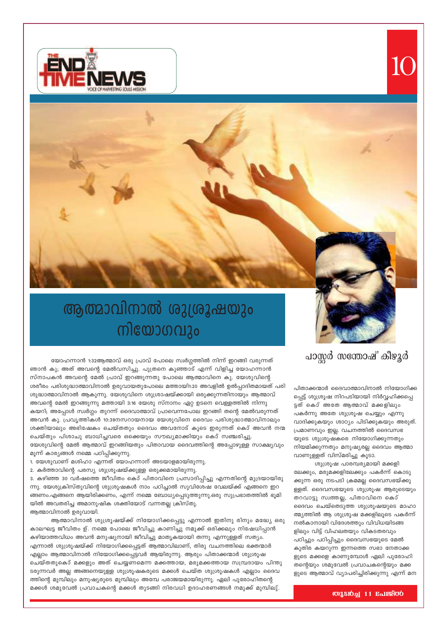



# ആത്മാവിനാൽ ശുശ്രൂഷയും നിയോഗവും

# പാസ്റ്റർ സന്തോഷ് കീഴുർ

യോഹന്നാൻ 1:32ആത്മാവ് ഒരു പ്രാവ് പോലെ സ്വർഗ്ഗത്തിൽ നിന്ന് ഇറങ്ങി വരുന്നത് ഞാൻ കു; അത് അവന്റെ മേൽവസിച്ചു. പുത്രനെ കുഞ്ഞാട് എന്ന് വിളിച്ച യോഹന്നാൻ സ്നാപകൻ അവന്റെ മേൽ പ്രാവ് ഇറങ്ങുന്നതു പോലെ ആത്മാവിനെ കു. യേശുവിന്റെ ശരീരം പരിശുദ്ധാത്മാവിനാൽ ഉരുവായതുപോലെ മത്തായി1:20 അവളിൽ ഉൽപ്പാദിതമായത് പരി ശുദ്ധാത്മാവിനാൽ ആകുന്നു. യേശുവിനെ ശുശ്രാഷയ്ക്കായി ഒരുക്കുന്നതിനായും ആത്മാവ് അവന്റെ മേൽ ഇറങ്ങുന്നു മത്തായി 3:16 യേശു സ്നാനം ഏറ്റ ഉടനെ വെള്ളത്തിൽ നിന്നു കയറി; അപ്പോൾ സ്വർഗ്ഗം തുറന്ന് ദൈവാത്മാവ് പ്രാവെന്നപോല ഇറങ്ങി തന്റെ മേൽവരുന്നത് അവൻ കു. പ്രവൃത്തികൾ 10:38നസറായനായ യേശുവിനെ ദൈവം പരിശുദ്ധാത്മാവിനാലും ശക്തിയാലും അഭിഷേകം ചെയ്തതും ദൈവം അവനോട് കൂടെ ഇരുന്നത് കൊ് അവൻ നന്മ ചെയ്തും പിശാചു ബാധിച്ചവരെ ഒക്കെയും സൗഖ്യമാക്കിയും കൊ് സഞ്ചരിച്ചു.

യേശുവിന്റെ മേൽ ആത്മാവ് ഇറങ്ങിയതും പിതാവായ ദൈവത്തിന്റെ അപ്പോഴുള്ള സാക്ഷ്യവും മൂന്ന് കാര്യങ്ങൾ നമ്മെ പഠിപ്പിക്കുന്നു.

- 1. യേശുവാണ് മശിഹാ എന്നത് യോഹന്നാന് അടയാളമായിരുന്നു.
- 2. കർത്താവിന്റെ പരസ്യ ശുശ്രൂഷയ്ക്കുള്ള ഒരുക്കമായിരുന്നു.

3. കഴിഞ്ഞ 30 വർഷത്തെ ജീവിതം കൊ് പിതാവിനെ പ്രസാദിപ്പിച്ചു എന്നതിന്റെ മുദ്രയായിരു ന്നു. യേശുക്രിസ്തുവിന്റെ ശുശ്രൂഷകൾ നാം പഠിച്ചാൽ സുവിശേഷ വേലയ്ക്ക് എങ്ങനെ ഇറ ങ്ങണം.എങ്ങനെ ആയിരിക്കണം, എന്ന് നമ്മെ ബോധ്യപ്പെടുത്തുന്നു.ഒരു സുപ്രഭാതത്തിൽ ഭൂമി യിൽ അവതരിച്ച അമാനുഷിക ശക്തിയോട് വന്നതല്ല ക്രിസ്തു.

ആത്മാവിനാൽ ഉരുവായി.

ആത്മാവിനാൽ ശുശ്രൂഷയ്ക്ക് നിയോഗിക്കപ്പെട്ടു എന്നാൽ ഇതിനു രിനും മദ്ധ്യേ ഒരു കാലഘട്ട ജീവിതം ഉ്. നമ്മെ പോലെ ജീവിച്ചു കാണിച്ചു നമുക്ക് ഒരിക്കലും നിഷേധിപ്പാൻ കഴിയാത്തവിധം അവൻ മനുഷ്യനായി ജീവിച്ചു മാതൃകയായി തന്നു എന്നുള്ളത് സത്യം. എന്നാൽ ശുശ്രൂഷയ്ക്ക് നിയോഗിക്കപ്പെട്ടത് ആത്മാവിലാണ്, തിരു വചനത്തിലെ ഭക്തന്മാർ എല്ലാം ആത്മാവിനാൽ നിയോഗിക്കപ്പെട്ടവർ ആയിരുന്നു. ആരും പിതാക്കന്മാർ ശുശ്രൂഷ ചെയ്തതുകൊ് മക്കളും അത് ചെയ്യണമെന്ന മക്കത്തായ, മരുമക്കത്തായ സമ്പ്രദായം പിന്തു ടരുന്നവർ അല്ല അങ്ങനെയുള്ള ശുശ്രൂഷകരുടെ മക്കൾ ചെയ്ത ശുശ്രൂഷകൾ എല്ലാം ദൈവ ത്തിന്റെ മുമ്പിലും മനുഷ്യരുടെ മുമ്പിലും അമ്പേ പരാജയമായിരുന്നു. ഏലി പുരോഹിതന്റെ മക്കൾ ശമുവേൽ പ്രവാചകന്റെ മക്കൾ തുടങ്ങി നിരവധി ഉദാഹരണങ്ങൾ നമുക്ക് മുമ്പിലു്.

നിയമിക്കുന്നതും മനുഷ്യരല്ല ദൈവം ആത്മാ വാണുള്ളത് വിസ്മരിച്ചു കൂടാ. ശുശ്രൂഷ പാരമ്പര്യമായി മക്കളി ലേക്കും, മരുമക്കളിലേക്കും പകർന്ന് കൊടു ക്കുന്ന ഒരു നടപടി ക്രമമല്ല ദൈവസഭയ്ക്കു ള്ളത്. ദൈവസഭയുടെ ശുശ്രൂഷ ആരുടെയും തറവാട്ടു സ്വത്തല്ല, പിതാവിനെ കൊ് ദൈവം ചെയ്തെടുത്ത ശുശ്രൂഷയുടെ മാഹാ ത്മ്യത്തിൽ ആ ശുശ്രൂഷ മക്കളിലൂടെ പകർന്ന് നൽകാനായി വിദേശത്തും വിവിധയിടങ്ങ ളിലും വിട്ട് വിഹലതയും വികടതരവും പഠിച്ചും പഠിപ്പിച്ചും ദൈവസഭയുടെ മേൽ കുതിര കയറുന്ന ഇന്നത്തെ സഭാ നേതാക്ക ളുടെ മക്കളെ കാണുമ്പോൾ ഏലി പുരോഹി തന്റെയും ശമുവേൽ പ്രവാചകന്റെയും മക്ക ളുടെ ആത്മാവ് വ്യാപരിച്ചിരിക്കുന്നു എന്ന് മന

പിതാക്കന്മാർ ദൈവാത്മാവിനാൽ നിയോഗിക്ക

പ്പെട്ട് ശുശ്രൂഷ നിറപടിയായി നിർവ്വഹിക്കപ്പെ

വാദിക്കുകയും ശാഠ്യം പിടിക്കുകയും അരുത്.

ട്ടത് കൊ് അതേ ആത്മാവ് മക്കളിലും

പകർന്നു അതേ ശുശ്രൂഷ ചെയ്യും എന്നു

പ്രമാണവും ഇല്ല. വചനത്തിൽ ദൈവസഭ

യുടെ ശുശ്രൂഷകരെ നിയോഗിക്കുന്നതും

**OUTED** 11 Enlerop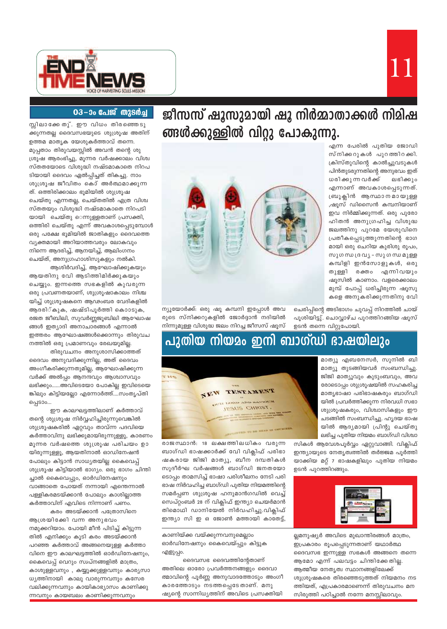

ജീസസ് ഷുസുമായി ഷു നിർമ്മാതാക്കൾ നിമിഷ ങ്ങൾക്കുള്ളിൽ വിറ്റു പോകുന്നു.

> എന്ന പേരിൽ പുതിയ ജോഡി സ്നിക്കറുകൾ പുറത്തിറക്കി. ക്രിസ്തുവിന്റെ കാൽച്ചുവടുകൾ പിൻതുടരുന്നതിന്റെ അനുഭവം ഇത് ധരിക്കു ന്ന വർക്ക് ലഭിക്കും എന്നാണ് അവകാശപ്പെടുന്നത്. ബ്രൂക്ലിൻ ആസ്ഥാനമായുള്ള ,ഷൂസ് ഡിസൈൻ കമ്പനിയാണ് ഇവ നിർമ്മിക്കുന്നത്. ഒരു പുരോ ഹിതൻ അനുഗ്രഹിച്ച വിശുദ്ധ ജലത്തിനു പുറമേ യേശുവിനെ പ്രതീകപ്പെടുത്തുന്നതിന്റെ ഭാഗ മായി ഒരു ചെറിയ കുരിശു രൂപം, സുഗന്ധ ദ്രവ്യ – സുഗന്ധ മുള്ള കമ്പിളി ഇൻസോളുകൾ, ഒരു തുള്ളി രക്തം എന്നിവയും ഷൂസിൽ കാണാം. വളരെക്കാലം മുമ്പ് പോപ്പ് ധരിച്ചിരുന്ന ഷൂസു





ന്യൂയോർക്ക്: ഒരു ഷൂ കമ്പനി ഇപ്പോൾ അവ രുടെ സ്നിക്കറുകളിൽ ജോർദ്ദാൻ നദിയിൽ നിന്നുമുള്ള വിശുദ്ധ ജലം നിറച്ച ജീസസ് ഷൂസ്

## ഉടൻ തന്നെ വിറ്റുപോയി. പുതിയ നിയമം ഇനി ബാഗ്ഡി ഭാഷയിലും



മാത്യൂ എബനേസർ, സുനിൽ ബി മാത്യൂ തുടങ്ങിയവർ സംബന്ധിച്ചു. ജിജി മാത്യൂവും കുടുംബവും, അവ രോടൊപ്പം ശുശ്രൂഷയിൽ സഹകരിച്ച മാതൃഭാഷാ പരിഭാഷകരും ബാഗ്ഡി യിൽ പ്രവർത്തിക്കുന്ന നിരവധി സഭാ ശുശ്രൂഷകരും, വിശ്വാസികളും ഈ ചടങ്ങിൽ സംബന്ധിച്ചു. ഹൃദയ ഭാഷ യിൽ ആദ്യമായി പ്രിന്റു ചെയ്തു ലഭിച്ച പുതിയ നിയമം ബാഗ്ഡി വിശ്വാ

സികൾ ആവേശപൂർവ്വം ഏറ്റുവാങ്ങി. വിക്ലിഫ് ഇന്ത്യായുടെ നേതൃത്വത്തിൽ തർജ്ജമ പൂർത്തി യാക്കിയ മറ്റ് 7 ഭാഷകളിലും പുതിയ നിയമം ഉടൻ പുറത്തിറങ്ങും.



ല്ലമനുഷ്യർ അവിടെ മുഖാന്തിരങ്ങൾ മാത്രം, ഇപ്രകാരം രൂപപ്പെടുന്നതാണ് യഥാർത്ഥ ദൈവസഭ ഇന്നുള്ള സഭകൾ അങ്ങനെ തന്നെ ആമോ എന്ന് പലവട്ടം ചിന്തിക്കേതില്ല. ആത്മീയ നേതൃത്വ സ്ഥാനങ്ങളിലേക്ക് ശുശ്രൂഷകരെ തിരഞ്ഞെടുത്തത് നിയമനം നട ത്തിയത്, എപ്രകാരമാണെന്ന് തിരുവചനം മന സിരുത്തി പഠിച്ചാൽ നന്നേ മനസ്സിലാവും.

### 03-00 പേജ് തുടർച്ച

സ്സിലാക്കേ തു്. ഈ വിധം തിരഞ്ഞെടു ക്കുന്നതല്ല ദൈവസഭയുടെ ശുശ്രൂഷ അതിന് ഉത്തമ മാതൃക യേശുകർത്താവ് തന്നെ. മുപ്പതാം തിരുവയസ്സിൽ അവൻ തന്റെ ശു ശ്രൂഷ ആരംഭിച്ചു, മൂന്നര വർഷക്കാലം വിശ്വ സ്തതയോടെ വിശുദ്ധി നഷ്ടമാകാതെ നിറപ ടിയായി ദൈവം ഏൽപ്പിച്ചത് തികച്ചു. നാം ശുശ്രൂഷ ജീവിതം കൊ് അർത്ഥമാക്കുന്ന ത്. ഒത്തിരിക്കാലം ഭൂമിയിൽ ശുശ്രൂഷ ചെയ്തു എന്നതല്ല, ചെയ്തതിൽ എത്ര വിശ്വ സ്തതയും വിശുദ്ധി നഷ്ടമാകാതെ നിറപടി യായി ചെയ്തു െന്നുള്ളതാണ് പ്രസക്തി, ഒത്തിരി ചെയ്തു എന്ന് അവകാശപ്പെടുമ്പോൾ ഒരു പക്ഷേ ഭൂമിയിൽ ജാതികളും ദൈവത്തെ വ്യക്തമായി അറിയാത്തവരും ലോകവും നിന്നെ ആദരിച്ച്, ആനയിച്ച്, ആലിംഗനം ചെയ്ത്, അനുഗ്രഹാശിസുകളും നൽകി. ആശിർവദിച്ച്, ആഘോഷിക്കുകയും

ആയതിനു വേി ആടിത്തിമിർക്കുകയും ചെയ്യും. ഇന്നത്തെ സഭകളിൽ കുവരുന്ന ഒരു പ്രവണതയാണ്, ശുശ്രൂഷാകാലം നിശ്ച യിച്ച് ശുശ്രൂഷകനെ ആഢംബര വേദികളിൽ ആദരി്കുക, ഷഷ്ടിപൂർത്തി കൊാടുക, രജത ജീബിലി, സുവർണ്ണജൂബിലി ആഘോഷ ങ്ങൾ ഇത്യാദി അനാചാരങ്ങൾ എന്നാൽ ഇത്തരം ആഘോഷങ്ങൾക്കൊന്നും തിരുവച നത്തിൽ ഒരു പ്രമാണവും രേഖയുമില്ല.

തിരുവചനം അനുശാസിക്കാത്തത് ദൈവം അനുവദിക്കുന്നില്ല, അത് ദൈവം അംഗീകരിക്കുന്നതുമില്ല, ആഘോഷിക്കുന്ന വർക്ക് അൽപ്പം ആനന്ദവും ആശ്വാസവും ലഭിക്കും......അവിടെയോ പോകില്ല ഇവിടെയെ ങ്കിലും കിട്ടിയല്ലോ എന്നോർത്ത്….സംതൃപ്തി പ്പെടാം...

ഈ കാലഘട്ടത്തിലാണ് കർത്താവ് തന്റെ ശുശ്രൂഷ നിർവ്വഹിച്ചിരുന്നുവെങ്കിൽ ശുശ്രൂഷകരിൽ ഏറ്റവും താവ്ന്ന പദവിയെ കർത്താവിനു ലഭിക്കുമായിരുന്നുള്ളൂ, കാരണം മൂന്നര വർഷത്തെ ശുശ്രൂഷ പരിചയം ഉാ യിരുന്നുള്ളൂ, ആയതിനാൽ ഓഡിനേഷൻ പോലും കിട്ടാൻ സാധ്യതയില്ല കൈവെപ്പ് ശുശ്രൂഷ കിട്ടിയാൽ ഭാഗ്യം. ഒരു ഭാഗം ചിന്തി ച്ചാൽ കൈവെപ്പും, ഓർഡിനേഷനും വാങ്ങാതെ പോയത് നന്നായി എന്തെന്നാൽ പള്ളികരമടയ്ക്കാൻ പോലും കാശില്ലാത്ത കർത്താവിന് എവിടെ നിന്നാണ് പണം.

കരം അടയ്ക്കാൻ പത്രോസിനെ ആശ്രയിക്കേി വന്ന അനുഭവം നമുക്കറിയാം. പോയി മീൻ പിടിച്ച് കിട്ടുന്ന തിൽ എനിക്കും കൂടി കരം അടയ്ക്കാൻ പറഞ്ഞ കർത്താവ് അങ്ങനെയുള്ള കർത്താ വിനെ ഈ കാലഘട്ടത്തിൽ ഓർഡിനേഷനും, കൈവെപ്പ് വെറും സ്വപ്നങ്ങളിൽ മാത്രം, കാശുള്ളവനും , കയ്യൂക്കുള്ളവനും കാര്യസാ ധ്യത്തിനായി കാലു വാരുന്നവനും കസേര വലിക്കുന്നവനും കായികാഭ്യാസം കാണിക്കു ന്നവനും കായബലം കാണിക്കുന്നവനും

രാജസ്ഥാൻ: 18 ലക്ഷത്തിലധികം വരുന്ന ബാഗ്ഡി ഭാഷക്കാർക്ക് വേി വിക്ലിഫ് പരിഭാ ഷകരായ ജിജി മാത്യൂ, ബീന ദമ്പതികൾ സുദീർഘ വർഷങ്ങൾ ബാഗ്ഡി ജനതയോ ടൊപ്പം താമസിച്ച് ഭാഷാ പരിശീലനം നേടി പരി ഭാഷ നിർവഹിച്ച ബാഗ്ഡി പുതിയ നിയമത്തിന്റെ സമർപ്പണ ശുശ്രൂഷ ഹനുമാൻഗഡിൽ വെച്ച് സെപ്റ്റംബർ 28 ന് വിക്ലിഫ് ഇന്ത്യാ ചെയർമാൻ തിമൊഥി ഡാനിയേൽ നിർവഹിച്ചു.വിക്ലിഫ് ഇന്ത്യാ സി ഇ ഒ ജോൺ മത്തായി കാതേട്ട്,

കാണിയ്ക്ക വയ്ക്കുന്നവനുമെല്ലാം ഓർഡിനേഷനും കൈവെയ്പ്പും കിട്ടുക എളുപ്പം.

ദൈവസഭ ദൈവത്തിന്റേതാണ് അതിലെ ഓരോ പ്രവർത്തനങ്ങളും ദൈവാ ത്മാവിന്റെ പൂർണ്ണ അനുവാദത്തോടും അംഗീ കാരത്തോടും നടത്തപ്പെടേതാണ്. മനു ഷ്യന്റെ സാന്നിധ്യത്തിന് അവിടെ പ്രസക്തിയി